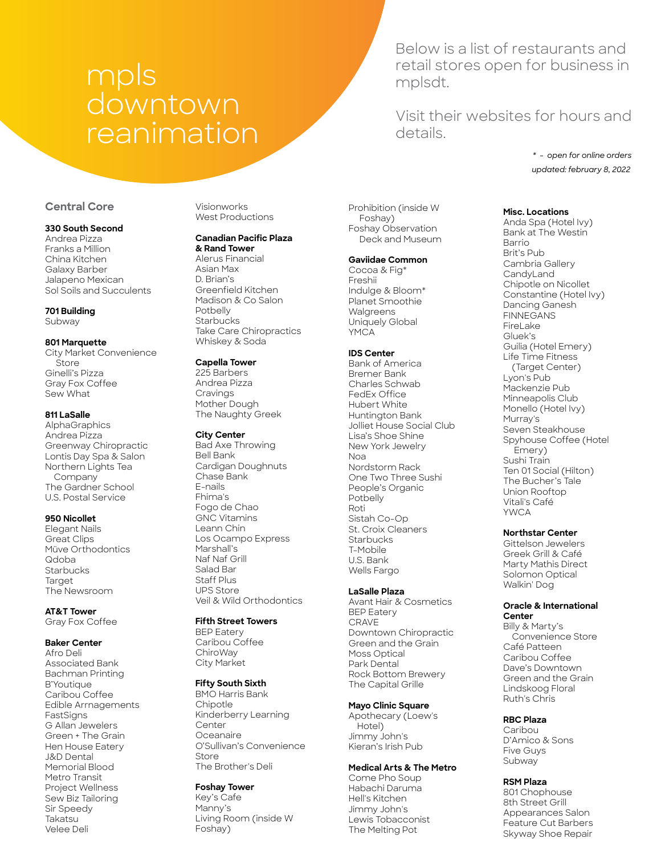# mpls downtown reanimation

Below is a list of restaurants and retail stores open for business in mplsdt.

Visit their websites for hours and details.

> *updated: february 8, 2022 \* - open for online orders*

# **Central Core**

#### **330 South Second**

Andrea Pizza Franks a Million China Kitchen Galaxy Barber Jalapeno Mexican Sol Soils and Succulents

# **701 Building**

Subway

#### **801 Marquette**

City Market Convenience **Store** Ginelli's Pizza Gray Fox Coffee Sew What

# **811 LaSalle**

**AlphaGraphics** Andrea Pizza Greenway Chiropractic Lontis Day Spa & Salon Northern Lights Tea Company The Gardner School U.S. Postal Service

#### **950 Nicollet**

Elegant Nails Great Clips Müve Orthodontics Qdoba **Starbucks Target** The Newsroom

**AT&T Tower** Gray Fox Coffee

## **Baker Center**

Afro Deli Associated Bank Bachman Printing B'Youtique Caribou Coffee Edible Arrnagements FastSigns G Allan Jewelers Green + The Grain Hen House Eatery J&D Dental Memorial Blood Metro Transit Project Wellness Sew Biz Tailoring Sir Speedy Takatsu Velee Deli

Visionworks West Productions

# **Canadian Pacific Plaza**

**& Rand Tower** Alerus Financial Asian Max D. Brian's Greenfield Kitchen Madison & Co Salon Potbelly **Starbucks** Take Care Chiropractics Whiskey & Soda

#### **Capella Tower**

225 Barbers Andrea Pizza **Cravings** Mother Dough The Naughty Greek

#### **City Center**

Bad Axe Throwing Bell Bank Cardigan Doughnuts Chase Bank E-nails Fhima's Fogo de Chao GNC Vitamins Leann Chin Los Ocampo Express Marshall's Naf Naf Grill Salad Bar Staff Plus UPS Store Veil & Wild Orthodontics

#### **Fifth Street Towers**

BEP Eatery Caribou Coffee ChiroWay City Market

## **Fifty South Sixth**

BMO Harris Bank **Chipotle** Kinderberry Learning Center Oceanaire O'Sullivan's Convenience Store The Brother's Deli

## **Foshay Tower**

Key's Cafe Manny's Living Room (inside W Foshay)

Prohibition (inside W Foshay) Foshay Observation Deck and Museum

#### **Gaviidae Common**

Cocoa & Fig\* Freshii Indulge & Bloom\* Planet Smoothie Walgreens Uniquely Global YMCA

#### **IDS Center**

Bank of America Bremer Bank Charles Schwab FedEx Office Hubert White Huntington Bank Jolliet House Social Club Lisa's Shoe Shine New York Jewelry Noa Nordstorm Rack One Two Three Sushi People's Organic Potbelly Roti Sistah Co-Op St. Croix Cleaners **Starbucks** T-Mobile U.S. Bank Wells Fargo

### **LaSalle Plaza**

Avant Hair & Cosmetics BEP Eatery CRAVE Downtown Chiropractic Green and the Grain Moss Optical Park Dental Rock Bottom Brewery The Capital Grille

#### **Mayo Clinic Square**

Apothecary (Loew's Hotel) Jimmy John's Kieran's Irish Pub

#### **Medical Arts & The Metro**

Come Pho Soup Habachi Daruma Hell's Kitchen Jimmy John's Lewis Tobacconist The Melting Pot

**Misc. Locations** 

Anda Spa (Hotel Ivy) Bank at The Westin Barrio Brit's Pub Cambria Gallery **CandyLand** Chipotle on Nicollet Constantine (Hotel Ivy) Dancing Ganesh FINNEGANS FireLake Gluek's Guilia (Hotel Emery) Life Time Fitness (Target Center) Lyon's Pub Mackenzie Pub Minneapolis Club Monello (Hotel Ivy) Murray's Seven Steakhouse Spyhouse Coffee (Hotel Emery) Sushi Train Ten 01 Social (Hilton) The Bucher's Tale Union Rooftop Vitali's Café YWCA

#### **Northstar Center**

Gittelson Jewelers Greek Grill & Café Marty Mathis Direct Solomon Optical Walkin' Dog

#### **Oracle & International Center**

Billy & Marty's Convenience Store Café Patteen Caribou Coffee Dave's Downtown Green and the Grain Lindskoog Floral Ruth's Chris

#### **RBC Plaza**

Caribou D'Amico & Sons Five Guys Subway

## **RSM Plaza**

801 Chophouse 8th Street Grill Appearances Salon Feature Cut Barbers Skyway Shoe Repair